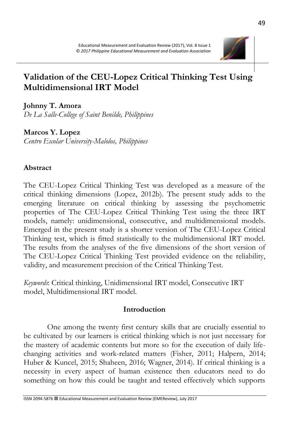

# **Validation of the CEU-Lopez Critical Thinking Test Using Multidimensional IRT Model**

**Johnny T. Amora**

*De La Salle-College of Saint Benilde, Philippines*

**Marcos Y. Lopez**

*Centro Escolar University-Malolos, Philippines* 

# **Abstract**

The CEU-Lopez Critical Thinking Test was developed as a measure of the critical thinking dimensions (Lopez, 2012b). The present study adds to the emerging literature on critical thinking by assessing the psychometric properties of The CEU-Lopez Critical Thinking Test using the three IRT models, namely: unidimensional, consecutive, and multidimensional models. Emerged in the present study is a shorter version of The CEU-Lopez Critical Thinking test, which is fitted statistically to the multidimensional IRT model. The results from the analyses of the five dimensions of the short version of The CEU-Lopez Critical Thinking Test provided evidence on the reliability, validity, and measurement precision of the Critical Thinking Test.

*Keywords*: Critical thinking, Unidimensional IRT model, Consecutive IRT model, Multidimensional IRT model.

# **Introduction**

One among the twenty first century skills that are crucially essential to be cultivated by our learners is critical thinking which is not just necessary for the mastery of academic contents but more so for the execution of daily lifechanging activities and work-related matters (Fisher, 2011; Halpern, 2014; Huber & Kuncel, 2015; Shaheen, 2016; Wagner, 2014). If critical thinking is a necessity in every aspect of human existence then educators need to do something on how this could be taught and tested effectively which supports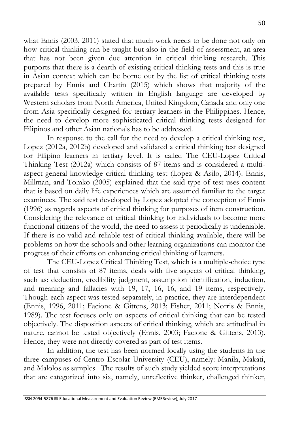what Ennis (2003, 2011) stated that much work needs to be done not only on how critical thinking can be taught but also in the field of assessment, an area that has not been given due attention in critical thinking research. This purports that there is a dearth of existing critical thinking tests and this is true in Asian context which can be borne out by the list of critical thinking tests prepared by Ennis and Chattin (2015) which shows that majority of the available tests specifically written in English language are developed by Western scholars from North America, United Kingdom, Canada and only one from Asia specifically designed for tertiary learners in the Philippines. Hence, the need to develop more sophisticated critical thinking tests designed for Filipinos and other Asian nationals has to be addressed.

In response to the call for the need to develop a critical thinking test, Lopez (2012a, 2012b) developed and validated a critical thinking test designed for Filipino learners in tertiary level. It is called The CEU-Lopez Critical Thinking Test (2012a) which consists of 87 items and is considered a multiaspect general knowledge critical thinking test (Lopez & Asilo, 2014). Ennis, Millman, and Tomko (2005) explained that the said type of test uses content that is based on daily life experiences which are assumed familiar to the target examinees. The said test developed by Lopez adopted the conception of Ennis (1996) as regards aspects of critical thinking for purposes of item construction. Considering the relevance of critical thinking for individuals to become more functional citizens of the world, the need to assess it periodically is undeniable. If there is no valid and reliable test of critical thinking available, there will be problems on how the schools and other learning organizations can monitor the progress of their efforts on enhancing critical thinking of learners.

The CEU-Lopez Critical Thinking Test, which is a multiple-choice type of test that consists of 87 items, deals with five aspects of critical thinking, such as: deduction, credibility judgment, assumption identification, induction, and meaning and fallacies with 19, 17, 16, 16, and 19 items, respectively. Though each aspect was tested separately, in practice, they are interdependent (Ennis, 1996, 2011; Facione & Gittens, 2013; Fisher, 2011; Norris & Ennis, 1989). The test focuses only on aspects of critical thinking that can be tested objectively. The disposition aspects of critical thinking, which are attitudinal in nature, cannot be tested objectively (Ennis, 2003; Facione & Gittens, 2013). Hence, they were not directly covered as part of test items.

In addition, the test has been normed locally using the students in the three campuses of Centro Escolar University (CEU), namely: Manila, Makati, and Malolos as samples. The results of such study yielded score interpretations that are categorized into six, namely, unreflective thinker, challenged thinker,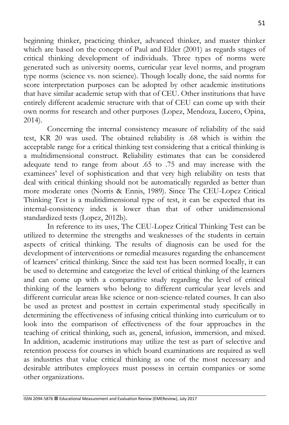beginning thinker, practicing thinker, advanced thinker, and master thinker which are based on the concept of Paul and Elder (2001) as regards stages of critical thinking development of individuals. Three types of norms were generated such as university norms, curricular year level norms, and program type norms (science vs. non science). Though locally done, the said norms for score interpretation purposes can be adopted by other academic institutions that have similar academic setup with that of CEU. Other institutions that have entirely different academic structure with that of CEU can come up with their own norms for research and other purposes (Lopez, Mendoza, Lucero, Opina, 2014).

Concerning the internal consistency measure of reliability of the said test, KR 20 was used. The obtained reliability is .68 which is within the acceptable range for a critical thinking test considering that a critical thinking is a multidimensional construct. Reliability estimates that can be considered adequate tend to range from about .65 to .75 and may increase with the examinees' level of sophistication and that very high reliability on tests that deal with critical thinking should not be automatically regarded as better than more moderate ones (Norris & Ennis, 1989). Since The CEU-Lopez Critical Thinking Test is a mulitidimensional type of test, it can be expected that its internal-consistency index is lower than that of other unidimensional standardized tests (Lopez, 2012b).

In reference to its uses, The CEU-Lopez Critical Thinking Test can be utilized to determine the strengths and weaknesses of the students in certain aspects of critical thinking. The results of diagnosis can be used for the development of interventions or remedial measures regarding the enhancement of learners' critical thinking. Since the said test has been normed locally, it can be used to determine and categorize the level of critical thinking of the learners and can come up with a comparative study regarding the level of critical thinking of the learners who belong to different curricular year levels and different curricular areas like science or non-science-related courses. It can also be used as pretest and posttest in certain experimental study specifically in determining the effectiveness of infusing critical thinking into curriculum or to look into the comparison of effectiveness of the four approaches in the teaching of critical thinking, such as, general, infusion, immersion, and mixed. In addition, academic institutions may utilize the test as part of selective and retention process for courses in which board examinations are required as well as industries that value critical thinking as one of the most necessary and desirable attributes employees must possess in certain companies or some other organizations.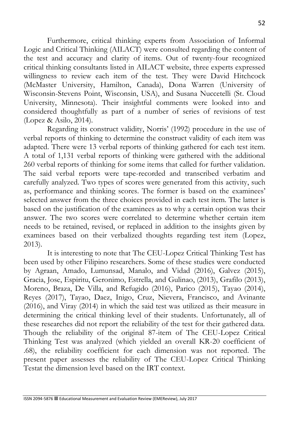Furthermore, critical thinking experts from Association of Informal Logic and Critical Thinking (AILACT) were consulted regarding the content of the test and accuracy and clarity of items. Out of twenty-four recognized critical thinking consultants listed in AILACT website, three experts expressed willingness to review each item of the test. They were David Hitchcock (McMaster University, Hamilton, Canada), Dona Warren (University of Wisconsin-Stevens Point, Wisconsin, USA), and Susana Nuccetelli (St. Cloud University, Minnesota). Their insightful comments were looked into and considered thoughtfully as part of a number of series of revisions of test (Lopez & Asilo, 2014).

Regarding its construct validity, Norris' (1992) procedure in the use of verbal reports of thinking to determine the construct validity of each item was adapted. There were 13 verbal reports of thinking gathered for each test item. A total of 1,131 verbal reports of thinking were gathered with the additional 260 verbal reports of thinking for some items that called for further validation. The said verbal reports were tape-recorded and transcribed verbatim and carefully analyzed. Two types of scores were generated from this activity, such as, performance and thinking scores. The former is based on the examinees' selected answer from the three choices provided in each test item. The latter is based on the justification of the examinees as to why a certain option was their answer. The two scores were correlated to determine whether certain item needs to be retained, revised, or replaced in addition to the insights given by examinees based on their verbalized thoughts regarding test item (Lopez, 2013).

It is interesting to note that The CEU-Lopez Critical Thinking Test has been used by other Filipino researchers. Some of these studies were conducted by Agraan, Amado, Lumunsad, Manalo, and Vidad (2016), Galvez (2015), Gracia, Jose, Espiritu, Geronimo, Estrella, and Gulinao, (2013), Grafilo (2013), Moreno, Braza, De Villa, and Refugido (2016), Parico (2015), Tayao (2014), Reyes (2017), Tayao, Daez, Inigo, Cruz, Nievera, Francisco, and Avinante (2016), and Viray (2014) in which the said test was utilized as their measure in determining the critical thinking level of their students. Unfortunately, all of these researches did not report the reliability of the test for their gathered data. Though the reliability of the original 87-item of The CEU-Lopez Critical Thinking Test was analyzed (which yielded an overall KR-20 coefficient of .68), the reliability coefficient for each dimension was not reported. The present paper assesses the reliability of The CEU-Lopez Critical Thinking Testat the dimension level based on the IRT context.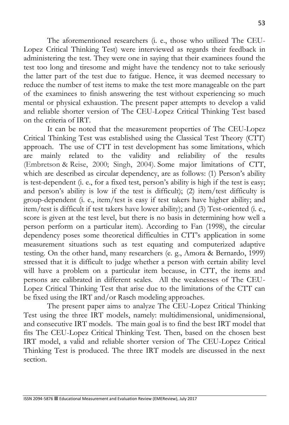The aforementioned researchers (i. e., those who utilized The CEU-Lopez Critical Thinking Test) were interviewed as regards their feedback in administering the test. They were one in saying that their examinees found the test too long and tiresome and might have the tendency not to take seriously the latter part of the test due to fatigue. Hence, it was deemed necessary to reduce the number of test items to make the test more manageable on the part of the examinees to finish answering the test without experiencing so much mental or physical exhaustion. The present paper attempts to develop a valid and reliable shorter version of The CEU-Lopez Critical Thinking Test based on the criteria of IRT.

It can be noted that the measurement properties of The CEU-Lopez Critical Thinking Test was established using the Classical Test Theory (CTT) approach. The use of CTT in test development has some limitations, which are mainly related to the validity and reliability of the results (Embretson & Reise, 2000; Singh, 2004). Some major limitations of CTT, which are described as circular dependency, are as follows: (1) Person's ability is test-dependent (i. e., for a fixed test, person's ability is high if the test is easy; and person's ability is low if the test is difficult); (2) item/test difficulty is group-dependent (i. e., item/test is easy if test takers have higher ability; and item/test is difficult if test takers have lower ability); and (3) Test-oriented (i. e., score is given at the test level, but there is no basis in determining how well a person perform on a particular item). According to Fan (1998), the circular dependency poses some theoretical difficulties in CTT's application in some measurement situations such as test equating and computerized adaptive testing. On the other hand, many researchers (e. g., Amora & Bernardo, 1999) stressed that it is difficult to judge whether a person with certain ability level will have a problem on a particular item because, in CTT, the items and persons are calibrated in different scales. All the weaknesses of The CEU-Lopez Critical Thinking Test that arise due to the limitations of the CTT can be fixed using the IRT and/or Rasch modeling approaches.

The present paper aims to analyze The CEU-Lopez Critical Thinking Test using the three IRT models, namely: multidimensional, unidimensional, and consecutive IRT models. The main goal is to find the best IRT model that fits The CEU-Lopez Critical Thinking Test. Then, based on the chosen best IRT model, a valid and reliable shorter version of The CEU-Lopez Critical Thinking Test is produced. The three IRT models are discussed in the next section.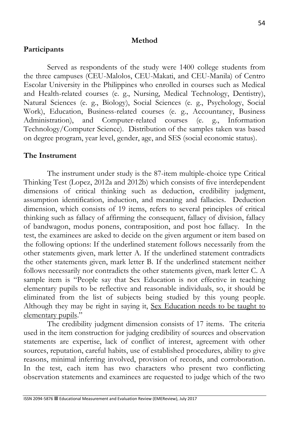#### **Method**

## **Participants**

Served as respondents of the study were 1400 college students from the three campuses (CEU-Malolos, CEU-Makati, and CEU-Manila) of Centro Escolar University in the Philippines who enrolled in courses such as Medical and Health-related courses (e. g., Nursing, Medical Technology, Dentistry), Natural Sciences (e. g., Biology), Social Sciences (e. g., Psychology, Social Work), Education, Business-related courses (e. g., Accountancy, Business Administration), and Computer-related courses (e. g., Information Technology/Computer Science). Distribution of the samples taken was based on degree program, year level, gender, age, and SES (social economic status).

## **The Instrument**

The instrument under study is the 87-item multiple-choice type Critical Thinking Test (Lopez, 2012a and 2012b) which consists of five interdependent dimensions of critical thinking such as deduction, credibility judgment, assumption identification, induction, and meaning and fallacies. Deduction dimension, which consists of 19 items, refers to several principles of critical thinking such as fallacy of affirming the consequent, fallacy of division, fallacy of bandwagon, modus ponens, contraposition, and post hoc fallacy. In the test, the examinees are asked to decide on the given argument or item based on the following options: If the underlined statement follows necessarily from the other statements given, mark letter A. If the underlined statement contradicts the other statements given, mark letter B. If the underlined statement neither follows necessarily nor contradicts the other statements given, mark letter C. A sample item is "People say that Sex Education is not effective in teaching elementary pupils to be reflective and reasonable individuals, so, it should be eliminated from the list of subjects being studied by this young people. Although they may be right in saying it, Sex Education needs to be taught to elementary pupils."

The credibility judgment dimension consists of 17 items. The criteria used in the item construction for judging credibility of sources and observation statements are expertise, lack of conflict of interest, agreement with other sources, reputation, careful habits, use of established procedures, ability to give reasons, minimal inferring involved, provision of records, and corroboration. In the test, each item has two characters who present two conflicting observation statements and examinees are requested to judge which of the two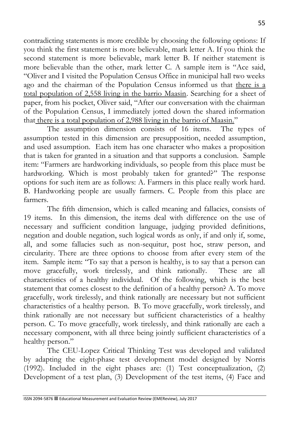contradicting statements is more credible by choosing the following options: If you think the first statement is more believable, mark letter A. If you think the second statement is more believable, mark letter B. If neither statement is more believable than the other, mark letter C. A sample item is "Ace said, "Oliver and I visited the Population Census Office in municipal hall two weeks ago and the chairman of the Population Census informed us that there is a total population of 2,558 living in the barrio Maasin. Searching for a sheet of paper, from his pocket, Oliver said, "After our conversation with the chairman of the Population Census, I immediately jotted down the shared information that there is a total population of 2,988 living in the barrio of Maasin."<br>The assumption dimension consists of 16 items. The types of

The assumption dimension consists of 16 items. assumption tested in this dimension are presupposition, needed assumption, and used assumption. Each item has one character who makes a proposition that is taken for granted in a situation and that supports a conclusion. Sample item: "Farmers are hardworking individuals, so people from this place must be hardworking. Which is most probably taken for granted?" The response options for such item are as follows: A. Farmers in this place really work hard. B. Hardworking people are usually farmers. C. People from this place are farmers.

The fifth dimension, which is called meaning and fallacies, consists of 19 items. In this dimension, the items deal with difference on the use of necessary and sufficient condition language, judging provided definitions, negation and double negation, such logical words as only, if and only if, some, all, and some fallacies such as non-sequitur, post hoc, straw person, and circularity. There are three options to choose from after every stem of the item. Sample item: "To say that a person is healthy, is to say that a person can move gracefully, work tirelessly, and think rationally. These are all characteristics of a healthy individual. Of the following, which is the best statement that comes closest to the definition of a healthy person? A. To move gracefully, work tirelessly, and think rationally are necessary but not sufficient characteristics of a healthy person. B. To move gracefully, work tirelessly, and think rationally are not necessary but sufficient characteristics of a healthy person. C. To move gracefully, work tirelessly, and think rationally are each a necessary component, with all three being jointly sufficient characteristics of a healthy person."

The CEU-Lopez Critical Thinking Test was developed and validated by adapting the eight-phase test development model designed by Norris (1992). Included in the eight phases are: (1) Test conceptualization, (2) Development of a test plan, (3) Development of the test items, (4) Face and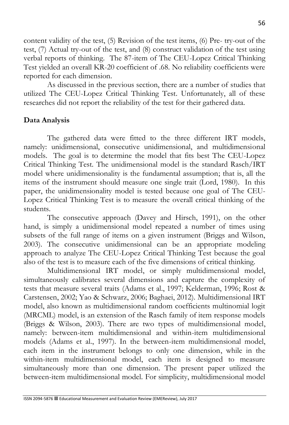content validity of the test, (5) Revision of the test items, (6) Pre- try-out of the test, (7) Actual try-out of the test, and (8) construct validation of the test using verbal reports of thinking. The 87-item of The CEU-Lopez Critical Thinking Test yielded an overall KR-20 coefficient of .68. No reliability coefficients were reported for each dimension.

As discussed in the previous section, there are a number of studies that utilized The CEU-Lopez Critical Thinking Test. Unfortunately, all of these researches did not report the reliability of the test for their gathered data.

# **Data Analysis**

The gathered data were fitted to the three different IRT models, namely: unidimensional, consecutive unidimensional, and multidimensional models. The goal is to determine the model that fits best The CEU-Lopez Critical Thinking Test. The unidimensional model is the standard Rasch/IRT model where unidimensionality is the fundamental assumption; that is, all the items of the instrument should measure one single trait (Lord, 1980). In this paper, the unidimensionality model is tested because one goal of The CEU-Lopez Critical Thinking Test is to measure the overall critical thinking of the students.

The consecutive approach (Davey and Hirsch, 1991), on the other hand, is simply a unidimensional model repeated a number of times using subsets of the full range of items on a given instrument (Briggs and Wilson, 2003). The consecutive unidimensional can be an appropriate modeling approach to analyze The CEU-Lopez Critical Thinking Test because the goal also of the test is to measure each of the five dimensions of critical thinking.

Multidimensional IRT model, or simply multidimensional model, simultaneously calibrates several dimensions and capture the complexity of tests that measure several traits (Adams et al., 1997; Kelderman, 1996; Rost & Carstensen, 2002; Yao & Schwarz, 2006; Baghaei, 2012). Multidimensional IRT model, also known as multidimensional random coefficients multinomial logit (MRCML) model, is an extension of the Rasch family of item response models (Briggs & Wilson, 2003). There are two types of multidimensional model, namely: between-item multidimensional and within-item multidimensional models (Adams et al., 1997). In the between-item multidimensional model, each item in the instrument belongs to only one dimension, while in the within-item multidimensional model, each item is designed to measure simultaneously more than one dimension. The present paper utilized the between-item multidimensional model. For simplicity, multidimensional model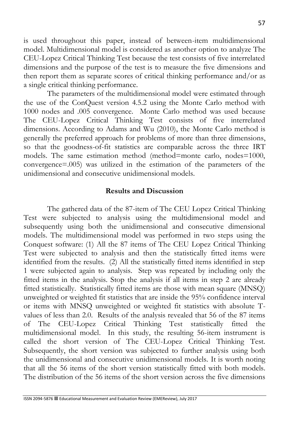is used throughout this paper, instead of between-item multidimensional model. Multidimensional model is considered as another option to analyze The CEU-Lopez Critical Thinking Test because the test consists of five interrelated dimensions and the purpose of the test is to measure the five dimensions and then report them as separate scores of critical thinking performance and/or as a single critical thinking performance.

The parameters of the multidimensional model were estimated through the use of the ConQuest version 4.5.2 using the Monte Carlo method with 1000 nodes and .005 convergence. Monte Carlo method was used because The CEU-Lopez Critical Thinking Test consists of five interrelated dimensions. According to Adams and Wu (2010), the Monte Carlo method is generally the preferred approach for problems of more than three dimensions, so that the goodness-of-fit statistics are comparable across the three IRT models. The same estimation method (method=monte carlo, nodes=1000, convergence=.005) was utilized in the estimation of the parameters of the unidimensional and consecutive unidimensional models.

## **Results and Discussion**

The gathered data of the 87-item of The CEU Lopez Critical Thinking Test were subjected to analysis using the multidimensional model and subsequently using both the unidimensional and consecutive dimensional models. The multidimensional model was performed in two steps using the Conquest software: (1) All the 87 items of The CEU Lopez Critical Thinking Test were subjected to analysis and then the statistically fitted items were identified from the results. (2) All the statistically fitted items identified in step 1 were subjected again to analysis. Step was repeated by including only the fitted items in the analysis. Stop the analysis if all items in step 2 are already fitted statistically. Statistically fitted items are those with mean square (MNSQ) unweighted or weighted fit statistics that are inside the 95% confidence interval or items with MNSQ unweighted or weighted fit statistics with absolute Tvalues of less than 2.0. Results of the analysis revealed that 56 of the 87 items of The CEU-Lopez Critical Thinking Test statistically fitted the multidimensional model. In this study, the resulting 56-item instrument is called the short version of The CEU-Lopez Critical Thinking Test. Subsequently, the short version was subjected to further analysis using both the unidimensional and consecutive unidimensional models. It is worth noting that all the 56 items of the short version statistically fitted with both models. The distribution of the 56 items of the short version across the five dimensions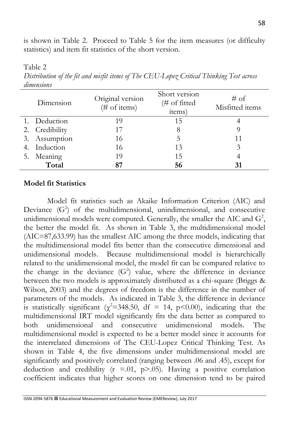is shown in Table 2. Proceed to Table 5 for the item measures (or difficulty statistics) and item fit statistics of the short version.

Table 2

*Distribution of the fit and misfit items of The CEU-Lopez Critical Thinking Test across dimensions*

| Dimension      | Original version<br>$(\# \text{ of items})$ | Short version<br>(# of fitted<br>items) | $#$ of<br>Misfitted items |
|----------------|---------------------------------------------|-----------------------------------------|---------------------------|
| 1. Deduction   | 19                                          | 15                                      |                           |
| 2. Credibility | 17                                          |                                         |                           |
| 3. Assumption  | 16                                          | 5                                       | 11                        |
| 4. Induction   | 16                                          | 13                                      |                           |
| 5. Meaning     | 19                                          | 15                                      |                           |
| Total          | 87                                          | 56                                      |                           |

## **Model fit Statistics**

Model fit statistics such as Akaike Information Criterion (AIC) and Deviance  $(G<sup>2</sup>)$  of the multidimensional, unindimensional, and consecutive unidimensional models were computed. Generally, the smaller the AIC and  $G^2$ , the better the model fit. As shown in Table 3, the multidimensional model (AIC=87,633.99) has the smallest AIC among the three models, indicating that the multidimensional model fits better than the consecutive dimensional and unidimensional models. Because multidimensional model is hierarchically related to the unidimensional model, the model fit can be compared relative to the change in the deviance  $(G^2)$  value, where the difference in deviance between the two models is approximately distributed as a chi-square (Briggs & Wilson, 2003) and the degrees of freedom is the difference in the number of parameters of the models. As indicated in Table 3, the difference in deviance is statistically significant ( $\chi^2$ =348.50, df = 14, p<0.00), indicating that the multidimensional IRT model significantly fits the data better as compared to both unidimensional and consecutive unidimensional models. The multidimensional model is expected to be a better model since it accounts for the interrelated dimensions of The CEU-Lopez Critical Thinking Test. As shown in Table 4, the five dimensions under multidimensional model are significantly and positively correlated (ranging between .06 and .45), except for deduction and credibility ( $r = .01$ ,  $p > .05$ ). Having a positive correlation coefficient indicates that higher scores on one dimension tend to be paired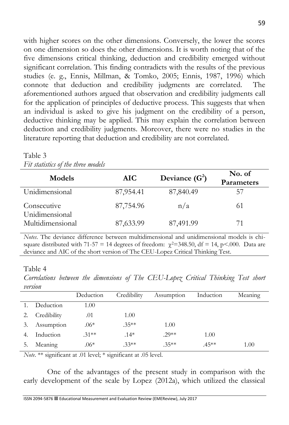with higher scores on the other dimensions. Conversely, the lower the scores on one dimension so does the other dimensions. It is worth noting that of the five dimensions critical thinking, deduction and credibility emerged without significant correlation. This finding contradicts with the results of the previous studies (e. g., Ennis, Millman, & Tomko, 2005; Ennis, 1987, 1996) which connote that deduction and credibility judgments are correlated. The aforementioned authors argued that observation and credibility judgments call for the application of principles of deductive process. This suggests that when an individual is asked to give his judgment on the credibility of a person, deductive thinking may be applied. This may explain the correlation between deduction and credibility judgments. Moreover, there were no studies in the literature reporting that deduction and credibility are not correlated.

| $\pm$ <i>vv overvovvo o</i> <sub>1</sub><br><i>visc visit compouves</i> |            |                  |                      |  |  |  |
|-------------------------------------------------------------------------|------------|------------------|----------------------|--|--|--|
| <b>Models</b>                                                           | <b>AIC</b> | Deviance $(G^2)$ | No. of<br>Parameters |  |  |  |
| Unidimensional                                                          | 87,954.41  | 87,840.49        | 57                   |  |  |  |
| Consecutive<br>Unidimensional                                           | 87,754.96  | n/a              | 61                   |  |  |  |
| Multidimensional                                                        | 87,633.99  | 87,491.99        |                      |  |  |  |

#### Table 3 *Fit statistics of the three models*

*Notes*. The deviance difference between multidimensional and unidimensional models is chisquare distributed with 71-57 = 14 degrees of freedom:  $\gamma^2$ =348.50, df = 14, p<.000. Data are deviance and AIC of the short version of The CEU-Lopez Critical Thinking Test.

## Table 4

*Correlations between the dimensions of The CEU-Lopez Critical Thinking Test short version*

| <i><u><u>U VI WWWIP</u></u></i> |             |           |             |            |           |         |
|---------------------------------|-------------|-----------|-------------|------------|-----------|---------|
|                                 |             | Deduction | Credibility | Assumption | Induction | Meaning |
|                                 | Deduction   | 1.00      |             |            |           |         |
|                                 | Credibility | .01       | 1.00        |            |           |         |
| 3.                              | Assumption  | $.06*$    | $.35**$     | 1.00       |           |         |
|                                 | Induction   | $.31**$   | $.14*$      | $.29**$    | 1.00      |         |
|                                 | Meaning     | $.06*$    | $.33**$     | $.35**$    | $.45**$   | 1.00    |

*Note*. \*\* significant at .01 level; \* significant at .05 level.

One of the advantages of the present study in comparison with the early development of the scale by Lopez (2012a), which utilized the classical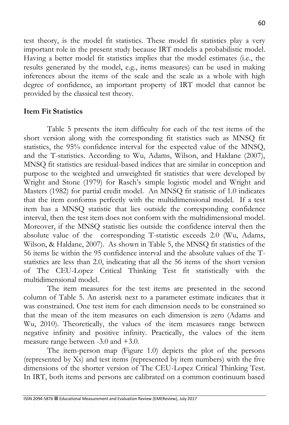test theory, is the model fit statistics. These model fit statistics play a very important role in the present study because IRT modelis a probabilistic model. Having a better model fit statistics implies that the model estimates (i.e., the results generated by the model, e.g., items measures) can be used in making inferences about the items of the scale and the scale as a whole with high degree of confidence, an important property of IRT model that cannot be provided by the classical test theory.

# **Item Fit Statistics**

Table 5 presents the item difficulty for each of the test items of the short version along with the corresponding fit statistics such as MNSQ fit statistics, the 95% confidence interval for the expected value of the MNSQ, and the T-statistics. According to Wu, Adams, Wilson, and Haldane (2007), MNSQ fit statistics are residual-based indices that are similar in conception and purpose to the weighted and unweighted fit statistics that were developed by Wright and Stone (1979) for Rasch's simple logistic model and Wright and Masters (1982) for partial credit model. An MNSQ fit statistic of 1.0 indicates that the item conforms perfectly with the multidimensional model. If a test item has a MNSQ statistic that lies outside the corresponding confidence interval, then the test item does not conform with the multidimensional model. Moreover, if the MNSQ statistic lies outside the confidence interval then the absolute value of the corresponding T-statistic exceeds 2.0 (Wu, Adams, Wilson, & Haldane, 2007). As shown in Table 5, the MNSQ fit statistics of the 56 items lie within the 95 confidence interval and the absolute values of the Tstatistics are less than 2.0, indicating that all the 56 items of the short version of The CEU-Lopez Critical Thinking Test fit statistically with the multidimensional model.

The item measures for the test items are presented in the second column of Table 5. An asterisk next to a parameter estimate indicates that it was constrained. One test item for each dimension needs to be constrained so that the mean of the item measures on each dimension is zero (Adams and Wu, 2010). Theoretically, the values of the item measures range between negative infinity and positive infinity. Practically, the values of the item measure range between -3.0 and +3.0.

The item-person map (Figure 1.0) depicts the plot of the persons (represented by Xs) and test items (represented by item numbers) with the five dimensions of the shorter version of The CEU-Lopez Critical Thinking Test. In IRT, both items and persons are calibrated on a common continuum based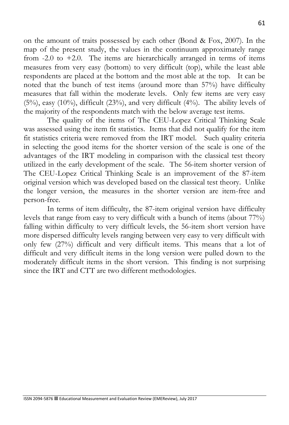on the amount of traits possessed by each other (Bond & Fox, 2007). In the map of the present study, the values in the continuum approximately range from  $-2.0$  to  $+2.0$ . The items are hierarchically arranged in terms of items measures from very easy (bottom) to very difficult (top), while the least able respondents are placed at the bottom and the most able at the top. It can be noted that the bunch of test items (around more than 57%) have difficulty measures that fall within the moderate levels. Only few items are very easy  $(5\%)$ , easy  $(10\%)$ , difficult  $(23\%)$ , and very difficult  $(4\%)$ . The ability levels of the majority of the respondents match with the below average test items.

The quality of the items of The CEU-Lopez Critical Thinking Scale was assessed using the item fit statistics. Items that did not qualify for the item fit statistics criteria were removed from the IRT model. Such quality criteria in selecting the good items for the shorter version of the scale is one of the advantages of the IRT modeling in comparison with the classical test theory utilized in the early development of the scale. The 56-item shorter version of The CEU-Lopez Critical Thinking Scale is an improvement of the 87-item original version which was developed based on the classical test theory. Unlike the longer version, the measures in the shorter version are item-free and person-free.

In terms of item difficulty, the 87-item original version have difficulty levels that range from easy to very difficult with a bunch of items (about 77%) falling within difficulty to very difficult levels, the 56-item short version have more dispersed difficulty levels ranging between very easy to very difficult with only few (27%) difficult and very difficult items. This means that a lot of difficult and very difficult items in the long version were pulled down to the moderately difficult items in the short version. This finding is not surprising since the IRT and CTT are two different methodologies.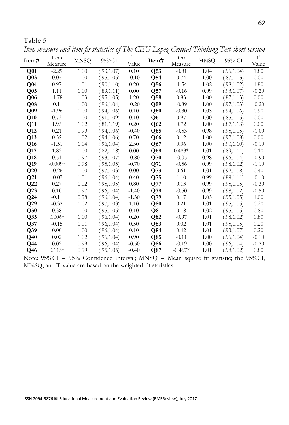*Item measure and item fit statistics of The CEU-Lopez Critical Thinking Test short version*

|                 | <i>Leville the colorer</i> convoce <i>evenie</i><br>Item |             | <i>Ter ordered</i> | $T -$   |                 | Item      | $\sim$      |             | $T -$    |
|-----------------|----------------------------------------------------------|-------------|--------------------|---------|-----------------|-----------|-------------|-------------|----------|
| Item#           | Measure                                                  | <b>MNSQ</b> | $95\%$ CI          | Value   | Item#           | Measure   | <b>MNSQ</b> | 95% CI      | Value    |
| Q <sub>01</sub> | $-2.29$                                                  | 1.00        | (.93,1.07)         | 0.10    | Q53             | $-0.81$   | 1.04        | (.96, 1.04) | 1.80     |
| Q <sub>03</sub> | 0.05                                                     | 1.00        | (.95,1.05)         | $-0.10$ | $\mathbf{Q}$ 54 | 0.74      | 1.00        | (.87,1.13)  | 0.00     |
| Q04             | 0.97                                                     | 1.01        | (.90, 1.10)        | 0.20    | Q56             | $-1.54$   | 1.02        | (.98,1.02)  | 1.80     |
| Q <sub>05</sub> | 1.11                                                     | 1.00        | (.89,1.11)         | 0.00    | Q57             | $-0.16$   | 0.99        | (.93,1.07)  | $-0.20$  |
| Q06             | $-1.78$                                                  | 1.03        | (.95,1.05)         | 1.20    | Q58             | 0.83      | 1.00        | (.87,1.13)  | $0.00\,$ |
| Q08             | $-0.11$                                                  | 1.00        | (.96, 1.04)        | $-0.20$ | Q59             | $-0.89$   | 1.00        | (.97,1.03)  | $-0.20$  |
| Q <sub>09</sub> | $-1.96$                                                  | 1.00        | (.94,1.06)         | 0.10    | Q60             | $-0.30$   | 1.03        | (.94,1.06)  | 0.90     |
| Q10             | 0.73                                                     | 1.00        | (.91,1.09)         | 0.10    | Q <sub>61</sub> | 0.97      | 1.00        | (.85,1.15)  | 0.00     |
| Q11             | 1.95                                                     | 1.02        | (.81,1.19)         | 0.20    | Q62             | 0.72      | 1.00        | (.87,1.13)  | 0.00     |
| Q12             | 0.21                                                     | 0.99        | (.94,1.06)         | $-0.40$ | Q65             | $-0.53$   | 0.98        | (.95,1.05)  | $-1.00$  |
| Q13             | 0.32                                                     | 1.02        | (.94,1.06)         | 0.70    | Q66             | 0.12      | 1.00        | (.92,1.08)  | 0.00     |
| Q16             | $-1.51$                                                  | 1.04        | (.96, 1.04)        | 2.30    | Q67             | 0.36      | 1.00        | (.90,1.10)  | $-0.10$  |
| Q17             | 1.83                                                     | 1.00        | (.82, 1.18)        | 0.00    | $\mathbf{Q}68$  | $0.483*$  | 1.01        | (.89,1.11)  | 0.10     |
| Q18             | 0.51                                                     | 0.97        | (.93,1.07)         | $-0.80$ | Q70             | $-0.05$   | 0.98        | (.96,1.04)  | $-0.90$  |
| Q19             | $-0.009*$                                                | 0.98        | (.95,1.05)         | $-0.70$ | Q71             | $-0.56$   | 0.99        | (.98,1.02)  | $-1.10$  |
| Q20             | $-0.26$                                                  | 1.00        | (.97,1.03)         | 0.00    | $\mathbf{Q}$ 73 | 0.61      | 1.01        | (.92,1.08)  | 0.40     |
| Q21             | $-0.07$                                                  | 1.01        | (.96, 1.04)        | 0.40    | Q75             | 1.10      | 0.99        | (.89,1.11)  | $-0.10$  |
| Q22             | 0.27                                                     | 1.02        | (.95,1.05)         | 0.80    | Q77             | 0.13      | 0.99        | (.95,1.05)  | $-0.30$  |
| Q23             | 0.10                                                     | 0.97        | (.96, 1.04)        | $-1.40$ | Q78             | $-0.50$   | 0.99        | (.98,1.02)  | $-0.50$  |
| Q <sub>24</sub> | $-0.11$                                                  | 0.98        | (.96, 1.04)        | $-1.30$ | Q79             | 0.17      | 1.03        | (.95,1.05)  | 1.00     |
| Q29             | $-0.32$                                                  | 1.02        | (.97,1.03)         | 1.10    | Q80             | 0.21      | 1.01        | (.95,1.05)  | 0.20     |
| Q30             | 0.38                                                     | 1.00        | (.95,1.05)         | 0.10    | Q81             | 0.18      | 1.02        | (.95,1.05)  | 0.80     |
| Q35             | $0.006*$                                                 | 1.00        | (.96, 1.04)        | 0.20    | Q82             | $-0.97$   | 1.01        | (.98,1.02)  | 0.80     |
| Q37             | $-0.15$                                                  | 1.01        | (.96, 1.04)        | 0.50    | Q83             | 0.02      | 1.01        | (.95,1.05)  | 0.20     |
| Q39             | 0.00                                                     | 1.00        | (.96, 1.04)        | 0.10    | Q84             | 0.42      | 1.01        | (.93,1.07)  | 0.20     |
| Q40             | 0.02                                                     | 1.02        | (.96, 1.04)        | 0.90    | Q85             | $-0.11$   | 1.00        | (.96,1.04)  | $-0.10$  |
| $Q$ 44          | 0.02                                                     | 0.99        | (.96, 1.04)        | $-0.50$ | Q86             | $-0.19$   | 1.00        | (.96,1.04)  | $-0.20$  |
| Q46             | $0.113*$                                                 | 0.99        | (.95,1.05)         | $-0.40$ | $\bf Q87$       | $-0.467*$ | 1.01        | (.98,1.02)  | 0.80     |

Note: 95%CI = 95% Confidence Interval; MNSQ = Mean square fit statistic; the 95%CI, MNSQ, and T-value are based on the weighted fit statistics.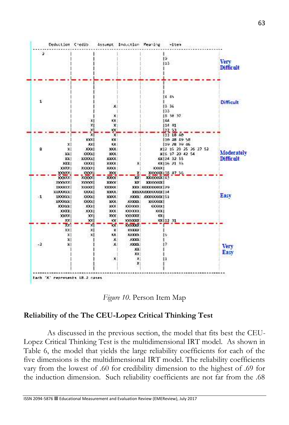



#### **Reliability of the The CEU-Lopez Critical Thinking Test**

As discussed in the previous section, the model that fits best the CEU-Lopez Critical Thinking Test is the multidimensional IRT model. As shown in Table 6, the model that yields the large reliability coefficients for each of the five dimensions is the multidimensional IRT model. The reliability coefficients vary from the lowest of .60 for credibility dimension to the highest of .69 for the induction dimension. Such reliability coefficients are not far from the .68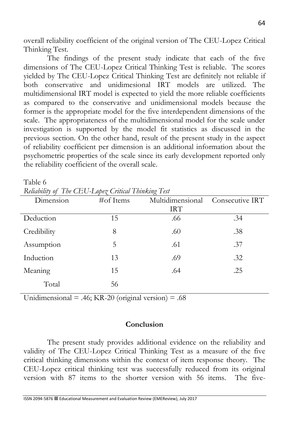overall reliability coefficient of the original version of The CEU-Lopez Critical Thinking Test.

The findings of the present study indicate that each of the five dimensions of The CEU-Lopez Critical Thinking Test is reliable. The scores yielded by The CEU-Lopez Critical Thinking Test are definitely not reliable if both conservative and unidimesional IRT models are utilized. The multidimensional IRT model is expected to yield the more reliable coefficients as compared to the conservative and unidimensional models because the former is the appropriate model for the five interdependent dimensions of the scale. The appropriateness of the multidimensional model for the scale under investigation is supported by the model fit statistics as discussed in the previous section. On the other hand, result of the present study in the aspect of reliability coefficient per dimension is an additional information about the psychometric properties of the scale since its early development reported only the reliability coefficient of the overall scale.

Table 6

*Reliability of The CEU-Lopez Critical Thinking Test*

|               | $\leftrightarrow$ |                 |
|---------------|-------------------|-----------------|
| $\#$ of Items | Multidimensional  | Consecutive IRT |
|               | <b>IRT</b>        |                 |
| 15            | .66               | .34             |
| 8             | .60               | .38             |
| 5             | .61               | .37             |
| 13            | .69               | .32             |
| 15            | .64               | .25             |
| 56            |                   |                 |
|               |                   |                 |

Unidimensional = .46; KR-20 (original version) = .68

#### **Conclusion**

The present study provides additional evidence on the reliability and validity of The CEU-Lopez Critical Thinking Test as a measure of the five critical thinking dimensions within the context of item response theory. The CEU-Lopez critical thinking test was successfully reduced from its original version with 87 items to the shorter version with 56 items. The five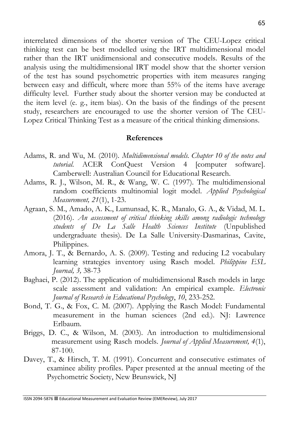interrelated dimensions of the shorter version of The CEU-Lopez critical thinking test can be best modelled using the IRT multidimensional model rather than the IRT unidimensional and consecutive models. Results of the analysis using the multidimensional IRT model show that the shorter version of the test has sound psychometric properties with item measures ranging between easy and difficult, where more than 55% of the items have average difficulty level. Further study about the shorter version may be conducted at the item level (e. g., item bias). On the basis of the findings of the present study, researchers are encouraged to use the shorter version of The CEU-Lopez Critical Thinking Test as a measure of the critical thinking dimensions.

#### **References**

- Adams, R. and Wu, M. (2010). *Multidimensional models. Chapter 10 of the notes and tutorial*. ACER ConQuest Version 4 [computer software]. Camberwell: Australian Council for Educational Research.
- Adams, R. J., Wilson, M. R., & Wang, W. C. (1997). The multidimensional random coefficients multinomial logit model. *Applied Psychological Measurement, 21*(1), 1-23.
- Agraan, S. M., Amado, A. K., Lumunsad, K. R., Manalo, G. A., & Vidad, M. L. (2016). *An assessment of critical thinking skills among radiologic technology students of De La Salle Health Sciences Institute* (Unpublished undergraduate thesis). De La Salle University-Dasmarinas, Cavite, Philippines.
- Amora, J. T., & Bernardo, A. S. (2009). Testing and reducing L2 vocabulary learning strategies inventory using Rasch model. *Philippine ESL Journal, 3,* 38-73
- Baghaei, P. (2012). The application of multidimensional Rasch models in large scale assessment and validation: An empirical example. *Electronic Journal of Research in Educational Psychology*, *10*, 233-252.
- Bond, T. G., & Fox, C. M. (2007). Applying the Rasch Model: Fundamental measurement in the human sciences (2nd ed.). NJ: Lawrence Erlbaum.
- Briggs, D. C., & Wilson, M. (2003). An introduction to multidimensional measurement using Rasch models. *Journal of Applied Measurement, 4*(1), 87-100.
- Davey, T., & Hirsch, T. M. (1991). Concurrent and consecutive estimates of examinee ability profiles. Paper presented at the annual meeting of the Psychometric Society, New Brunswick, NJ

ISSN 2094-5876 Educational Measurement and Evaluation Review (EMEReview), July 2017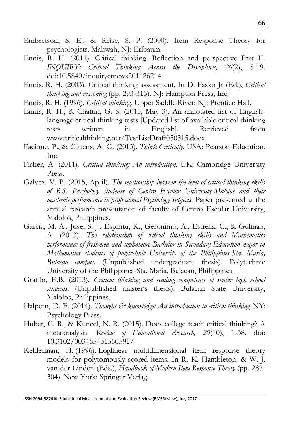- Embretson, S. E., & Reise, S. P. (2000). Item Response Theory for psychologists. Mahwah, NJ: Erlbaum.
- Ennis, R. H. (2011). Critical thinking. Reflection and perspective Part II. *INQUIRY: Critical Thinking Across the Disciplines, 26*(2), 5-19. doi:10.5840/inquiryctnews201126214
- Ennis, R. H. (2003). Critical thinking assessment. In D. Fasko Jr (Ed.), *Critical thinking and reasoning* (pp. 293-313). NJ: Hampton Press, Inc.
- Ennis, R. H. (1996). *Critical thinking.* Upper Saddle River: NJ: Prentice Hall.
- Ennis, R. H., & Chattin, G. S. (2015, May 3). An annotated list of Englishlanguage critical thinking tests [Updated list of available critical thinking tests written in English]. Retrieved from www.criticalthinking.net/TestListDraft050315.docx
- Facione, P., & Gittens, A. G. (2013). *Think Critically.* USA: Pearson Education, Inc.
- Fisher, A. (2011). *Critical thinking: An introduction.* UK: Cambridge University Press.
- Galvez, V. B. (2015, April). *The relationship between the level of critical thinking skills of B.S. Psychology students of Centro Escolar University-Malolos and their academic performance in professional Psychology subjects.* Paper presented at the annual research presentation of faculty of Centro Escolar University, Malolos, Philippines.
- Garcia, M. A., Jose, S. J., Espiritu, K., Geronimo, A., Estrella, C., & Gulinao, A. (2013). *The relationship of critical thinking skills and Mathematics performance of freshmen and sophomore Bachelor in Secondary Education major in Mathematics students of polytechnic University of the Philippines-Sta. Maria, Bulacan campus.* (Unpublished undergraduate thesis). Polytechnic University of the Philippines-Sta. Maria, Bulacan, Philippines.
- Grafilo, E.B. (2013). *Critical thinking and reading competence of senior high school students.* (Unpublished master's thesis). Bulacan State University, Malolos, Philippines.
- Halpern, D. F. (2014). *Thought & knowledge: An introduction to critical thinking*. NY: Psychology Press.
- Huber, C. R., & Kuncel, N. R. (2015). Does college teach critical thinking? A meta-analysis. *Review of Educational Research, 20*(10), 1-38. doi: 10.3102/0034654315605917
- Kelderman, H. (1996). Loglinear multidimensional item response theory models for polytomously scored items. In R. K. Hambleton, & W. J. van der Linden (Eds.), *Handbook of Modern Item Response Theory* (pp. 287- 304). New York: Springer Verlag.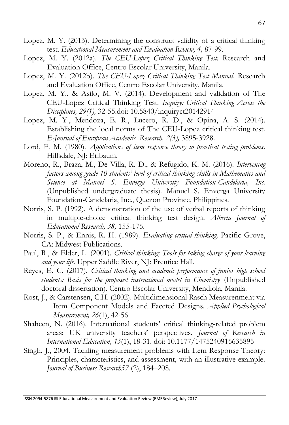- Lopez, M. Y. (2013). Determining the construct validity of a critical thinking test. *Educational Measurement and Evaluation Review, 4,* 87-99.
- Lopez, M. Y. (2012a). *The CEU-Lopez Critical Thinking Test.* Research and Evaluation Office, Centro Escolar University, Manila.
- Lopez, M. Y. (2012b). *The CEU-Lopez Critical Thinking Test Manual*. Research and Evaluation Office, Centro Escolar University, Manila.
- Lopez, M. Y., & Asilo, M. V. (2014). Development and validation of The CEU-Lopez Critical Thinking Test. *Inquiry: Critical Thinking Across the Disciplines, 29(1),* 32-55.doi: 10.5840/inquiryct20142914
- Lopez, M. Y., Mendoza, E. R., Lucero, R. D., & Opina, A. S. (2014). Establishing the local norms of The CEU-Lopez critical thinking test. *E-Journal of European Academic Research, 2(3),* 3895-3928.
- Lord, F. M. (1980). *Applications of item response theory to practical testing problems*. Hillsdale, NJ: Erlbaum.
- Moreno, R., Braza, M., De Villa, R. D., & Refugido, K. M. (2016). *Intervening factors among grade 10 students' level of critical thinking skills in Mathematics and Science at Manuel S. Enverga University Foundation-Candelaria, Inc.* (Unpublished undergraduate thesis). Manuel S. Enverga University Foundation-Candelaria, Inc., Quezon Province, Philippines.
- Norris, S. P. (1992). A demonstration of the use of verbal reports of thinking in multiple-choice critical thinking test design. *Alberta Journal of Educational Research, 38,* 155-176.
- Norris, S. P., & Ennis, R. H. (1989). *Evaluating critical thinking.* Pacific Grove, CA: Midwest Publications.
- Paul, R., & Elder, L. (2001). *Critical thinking: Tools for taking charge of your learning and your life.* Upper Saddle River, NJ: Prentice Hall.
- Reyes, E. C. (2017). *Critical thinking and academic performance of junior high school students: Basis for the proposed instructional model in Chemistry* (Unpublished doctoral dissertation). Centro Escolar University, Mendiola, Manila.
- Rost, J., & Carstensen, C.H. (2002). Multidimensional Rasch Measurenment via Item Component Models and Faceted Designs. *Applied Psychological Measurement, 26*(1), 42-56
- Shaheen, N. (2016). International students' critical thinking-related problem areas: UK university teachers' perspectives. *Journal of Research in International Education, 15*(1), 18-31. doi: 10.1177/1475240916635895
- Singh, J., 2004. Tackling measurement problems with Item Response Theory: Principles, characteristics, and assessment, with an illustrative example. *Journal of Business Research57* (2), 184–208.